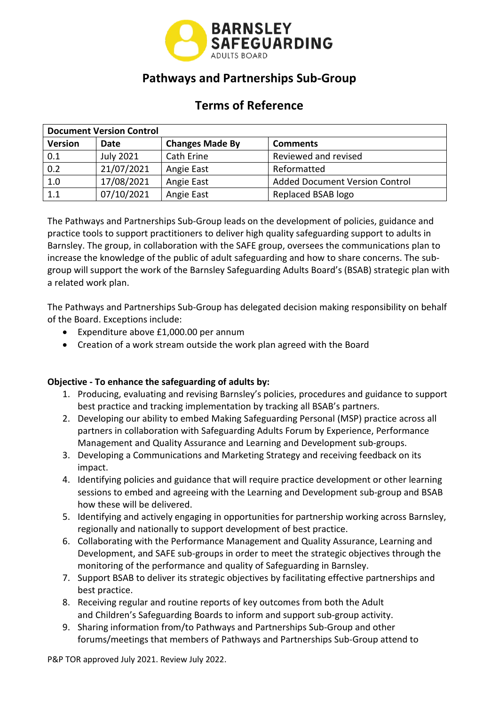

# **Pathways and Partnerships Sub-Group**

# **Terms of Reference**

| <b>Document Version Control</b> |                  |                        |                                       |  |  |  |  |
|---------------------------------|------------------|------------------------|---------------------------------------|--|--|--|--|
| <b>Version</b>                  | Date             | <b>Changes Made By</b> | <b>Comments</b>                       |  |  |  |  |
| 0.1                             | <b>July 2021</b> | Cath Erine             | Reviewed and revised                  |  |  |  |  |
| 0.2                             | 21/07/2021       | Angie East             | Reformatted                           |  |  |  |  |
| 1.0                             | 17/08/2021       | Angie East             | <b>Added Document Version Control</b> |  |  |  |  |
| 1.1                             | 07/10/2021       | Angie East             | Replaced BSAB logo                    |  |  |  |  |

The Pathways and Partnerships Sub-Group leads on the development of policies, guidance and practice tools to support practitioners to deliver high quality safeguarding support to adults in Barnsley. The group, in collaboration with the SAFE group, oversees the communications plan to increase the knowledge of the public of adult safeguarding and how to share concerns. The subgroup will support the work of the Barnsley Safeguarding Adults Board's (BSAB) strategic plan with a related work plan.

The Pathways and Partnerships Sub-Group has delegated decision making responsibility on behalf of the Board. Exceptions include:

- Expenditure above [£1,000.00](https://1,000.00) per annum
- Creation of a work stream outside the work plan agreed with the Board

## **Objective - To enhance the safeguarding of adults by:**

- 1. Producing, evaluating and revising Barnsley's policies, procedures and guidance to support best practice and tracking implementation by tracking all BSAB's partners.
- 2. Developing our ability to embed Making Safeguarding Personal (MSP) practice across all partners in collaboration with Safeguarding Adults Forum by Experience, Performance Management and Quality Assurance and Learning and Development sub-groups.
- 3. Developing a Communications and Marketing Strategy and receiving feedback on its impact.
- 4. Identifying policies and guidance that will require practice development or other learning sessions to embed and agreeing with the Learning and Development sub-group and BSAB how these will be delivered.
- 5. Identifying and actively engaging in opportunities for partnership working across Barnsley, regionally and nationally to support development of best practice.
- Development, and SAFE sub-groups in order to meet the strategic objectives through the 6. Collaborating with the Performance Management and Quality Assurance, Learning and monitoring of the performance and quality of Safeguarding in Barnsley.
- 7. Support BSAB to deliver its strategic objectives by facilitating effective partnerships and best practice.
- 8. Receiving regular and routine reports of key outcomes from both the Adult and Children's Safeguarding Boards to inform and support sub-group activity.
- 9. Sharing information from/to Pathways and Partnerships Sub-Group and other forums/meetings that members of Pathways and Partnerships Sub-Group attend to

P&P TOR approved July 2021. Review July 2022.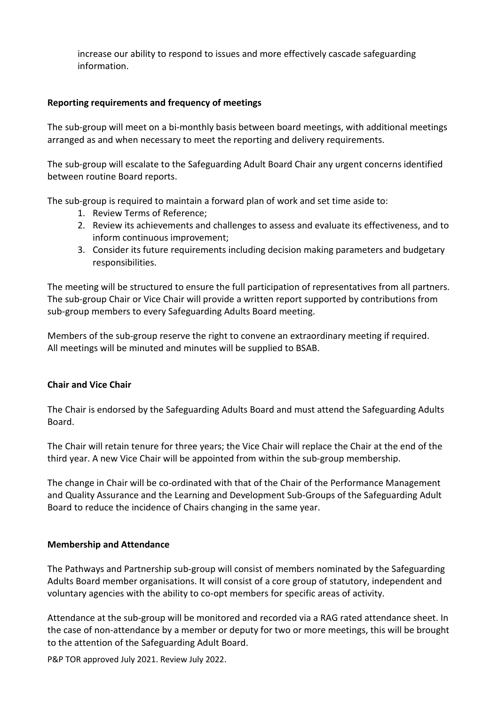information. increase our ability to respond to issues and more effectively cascade safeguarding

### **Reporting requirements and frequency of meetings**

The sub-group will meet on a bi-monthly basis between board meetings, with additional meetings arranged as and when necessary to meet the reporting and delivery requirements.

The sub-group will escalate to the Safeguarding Adult Board Chair any urgent concerns identified between routine Board reports.

The sub-group is required to maintain a forward plan of work and set time aside to:

- 1. Review Terms of Reference;
- 2. Review its achievements and challenges to assess and evaluate its effectiveness, and to inform continuous improvement;
- 3. Consider its future requirements including decision making parameters and budgetary responsibilities.

The meeting will be structured to ensure the full participation of representatives from all partners. The sub-group Chair or Vice Chair will provide a written report supported by contributions from sub-group members to every Safeguarding Adults Board meeting.

 Members of the sub-group reserve the right to convene an extraordinary meeting if required. All meetings will be minuted and minutes will be supplied to BSAB.

#### **Chair and Vice Chair**

 The Chair is endorsed by the Safeguarding Adults Board and must attend the Safeguarding Adults Board.

 The Chair will retain tenure for three years; the Vice Chair will replace the Chair at the end of the third year. A new Vice Chair will be appointed from within the sub-group membership.

 The change in Chair will be co-ordinated with that of the Chair of the Performance Management and Quality Assurance and the Learning and Development Sub-Groups of the Safeguarding Adult Board to reduce the incidence of Chairs changing in the same year.

#### **Membership and Attendance**

 The Pathways and Partnership sub-group will consist of members nominated by the Safeguarding voluntary agencies with the ability to co-opt members for specific areas of activity. Adults Board member organisations. It will consist of a core group of statutory, independent and

 Attendance at the sub-group will be monitored and recorded via a RAG rated attendance sheet. In the case of non-attendance by a member or deputy for two or more meetings, this will be brought to the attention of the Safeguarding Adult Board.

P&P TOR approved July 2021. Review July 2022.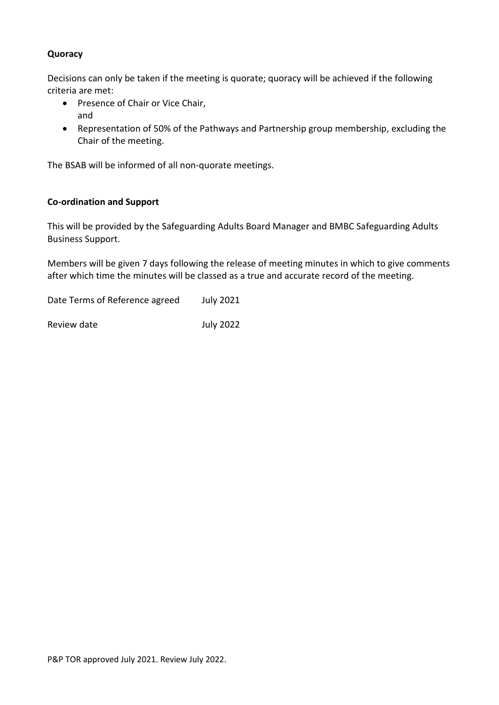## **Quoracy**

Decisions can only be taken if the meeting is quorate; quoracy will be achieved if the following criteria are met:

- Presence of Chair or Vice Chair, and
- Representation of 50% of the Pathways and Partnership group membership, excluding the Chair of the meeting.

The BSAB will be informed of all non-quorate meetings.

#### **Co-ordination and Support**

 This will be provided by the Safeguarding Adults Board Manager and BMBC Safeguarding Adults Business Support.

 Members will be given 7 days following the release of meeting minutes in which to give comments after which time the minutes will be classed as a true and accurate record of the meeting.

Date Terms of Reference agreed July 2021

**July 2022** Review date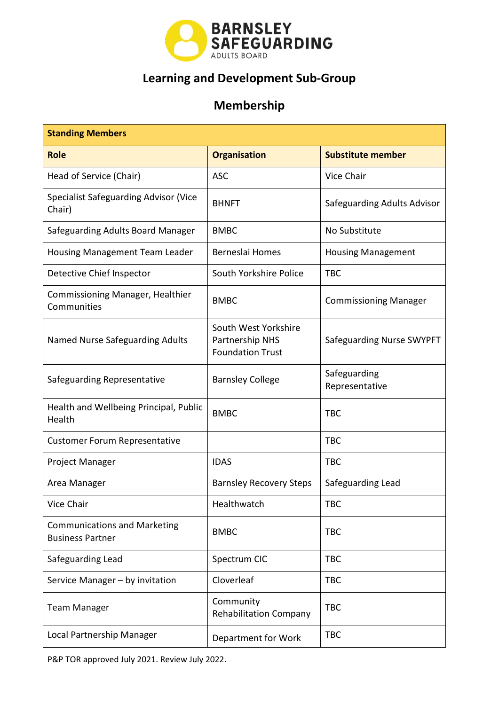

# **Learning and Development Sub-Group**

# **Membership**

| <b>Standing Members</b>                                        |                                                                    |                                |  |  |  |
|----------------------------------------------------------------|--------------------------------------------------------------------|--------------------------------|--|--|--|
| <b>Role</b>                                                    | <b>Organisation</b>                                                | <b>Substitute member</b>       |  |  |  |
| Head of Service (Chair)                                        | <b>ASC</b>                                                         | <b>Vice Chair</b>              |  |  |  |
| <b>Specialist Safeguarding Advisor (Vice</b><br>Chair)         | <b>BHNFT</b>                                                       | Safeguarding Adults Advisor    |  |  |  |
| Safeguarding Adults Board Manager                              | <b>BMBC</b>                                                        | No Substitute                  |  |  |  |
| Housing Management Team Leader                                 | Berneslai Homes                                                    | <b>Housing Management</b>      |  |  |  |
| Detective Chief Inspector                                      | South Yorkshire Police                                             | <b>TBC</b>                     |  |  |  |
| <b>Commissioning Manager, Healthier</b><br>Communities         | <b>BMBC</b>                                                        | <b>Commissioning Manager</b>   |  |  |  |
| Named Nurse Safeguarding Adults                                | South West Yorkshire<br>Partnership NHS<br><b>Foundation Trust</b> | Safeguarding Nurse SWYPFT      |  |  |  |
| Safeguarding Representative                                    | <b>Barnsley College</b>                                            | Safeguarding<br>Representative |  |  |  |
| Health and Wellbeing Principal, Public<br>Health               | <b>BMBC</b>                                                        | <b>TBC</b>                     |  |  |  |
| <b>Customer Forum Representative</b>                           |                                                                    | <b>TBC</b>                     |  |  |  |
| Project Manager                                                | <b>IDAS</b>                                                        | <b>TBC</b>                     |  |  |  |
| Area Manager                                                   | <b>Barnsley Recovery Steps</b>                                     | Safeguarding Lead              |  |  |  |
| <b>Vice Chair</b>                                              | Healthwatch                                                        | <b>TBC</b>                     |  |  |  |
| <b>Communications and Marketing</b><br><b>Business Partner</b> | <b>BMBC</b>                                                        | <b>TBC</b>                     |  |  |  |
| Safeguarding Lead                                              | Spectrum CIC                                                       | <b>TBC</b>                     |  |  |  |
| Service Manager - by invitation                                | Cloverleaf                                                         | <b>TBC</b>                     |  |  |  |
| <b>Team Manager</b>                                            | Community<br><b>Rehabilitation Company</b>                         | <b>TBC</b>                     |  |  |  |
| Local Partnership Manager                                      | Department for Work                                                | <b>TBC</b>                     |  |  |  |

P&P TOR approved July 2021. Review July 2022.